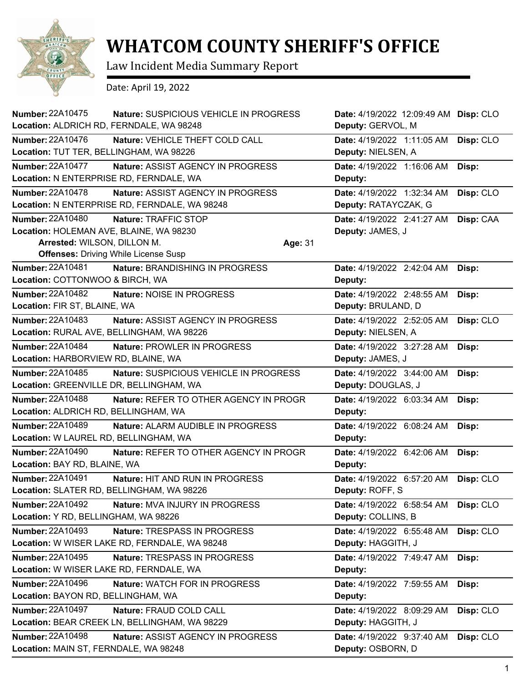

## **WHATCOM COUNTY SHERIFF'S OFFICE**

Law Incident Media Summary Report

Date: April 19, 2022

| <b>Number: 22A10475</b><br>Location: ALDRICH RD, FERNDALE, WA 98248                                                                              | Nature: SUSPICIOUS VEHICLE IN PROGRESS | Date: 4/19/2022 12:09:49 AM Disp: CLO<br>Deputy: GERVOL, M |           |
|--------------------------------------------------------------------------------------------------------------------------------------------------|----------------------------------------|------------------------------------------------------------|-----------|
| Number: 22A10476<br>Location: TUT TER, BELLINGHAM, WA 98226                                                                                      | Nature: VEHICLE THEFT COLD CALL        | Date: 4/19/2022 1:11:05 AM<br>Deputy: NIELSEN, A           | Disp: CLO |
| Number: 22A10477<br>Location: N ENTERPRISE RD, FERNDALE, WA                                                                                      | Nature: ASSIST AGENCY IN PROGRESS      | Date: 4/19/2022 1:16:06 AM<br>Deputy:                      | Disp:     |
| Number: 22A10478<br>Location: N ENTERPRISE RD, FERNDALE, WA 98248                                                                                | Nature: ASSIST AGENCY IN PROGRESS      | Date: 4/19/2022 1:32:34 AM<br>Deputy: RATAYCZAK, G         | Disp: CLO |
| <b>Number: 22A10480</b><br>Location: HOLEMAN AVE, BLAINE, WA 98230<br>Arrested: WILSON, DILLON M.<br><b>Offenses: Driving While License Susp</b> | Nature: TRAFFIC STOP<br>Age: 31        | Date: 4/19/2022 2:41:27 AM<br>Deputy: JAMES, J             | Disp: CAA |
| Number: 22A10481<br>Location: COTTONWOO & BIRCH, WA                                                                                              | Nature: BRANDISHING IN PROGRESS        | Date: 4/19/2022 2:42:04 AM<br>Deputy:                      | Disp:     |
| <b>Number: 22A10482</b><br>Location: FIR ST, BLAINE, WA                                                                                          | Nature: NOISE IN PROGRESS              | Date: 4/19/2022 2:48:55 AM<br>Deputy: BRULAND, D           | Disp:     |
| Number: 22A10483<br>Location: RURAL AVE, BELLINGHAM, WA 98226                                                                                    | Nature: ASSIST AGENCY IN PROGRESS      | Date: 4/19/2022 2:52:05 AM<br>Deputy: NIELSEN, A           | Disp: CLO |
| <b>Number: 22A10484</b><br>Location: HARBORVIEW RD, BLAINE, WA                                                                                   | Nature: PROWLER IN PROGRESS            | Date: 4/19/2022 3:27:28 AM<br>Deputy: JAMES, J             | Disp:     |
| Number: 22A10485<br>Location: GREENVILLE DR, BELLINGHAM, WA                                                                                      | Nature: SUSPICIOUS VEHICLE IN PROGRESS | Date: 4/19/2022 3:44:00 AM<br>Deputy: DOUGLAS, J           | Disp:     |
| Number: 22A10488<br>Location: ALDRICH RD, BELLINGHAM, WA                                                                                         | Nature: REFER TO OTHER AGENCY IN PROGR | Date: 4/19/2022 6:03:34 AM<br>Deputy:                      | Disp:     |
| <b>Number: 22A10489</b><br>Location: W LAUREL RD, BELLINGHAM, WA                                                                                 | Nature: ALARM AUDIBLE IN PROGRESS      | Date: 4/19/2022 6:08:24 AM<br>Deputy:                      | Disp:     |
| <b>Number: 22A10490</b><br>Location: BAY RD, BLAINE, WA                                                                                          | Nature: REFER TO OTHER AGENCY IN PROGR | Date: 4/19/2022 6:42:06 AM<br>Deputy:                      | Disp:     |
| Number: 22A10491<br>Location: SLATER RD, BELLINGHAM, WA 98226                                                                                    | Nature: HIT AND RUN IN PROGRESS        | Date: 4/19/2022 6:57:20 AM<br>Deputy: ROFF, S              | Disp: CLO |
| <b>Number: 22A10492</b><br>Location: Y RD, BELLINGHAM, WA 98226                                                                                  | <b>Nature: MVA INJURY IN PROGRESS</b>  | Date: 4/19/2022 6:58:54 AM<br>Deputy: COLLINS, B           | Disp: CLO |
| <b>Number: 22A10493</b><br>Location: W WISER LAKE RD, FERNDALE, WA 98248                                                                         | Nature: TRESPASS IN PROGRESS           | Date: 4/19/2022 6:55:48 AM<br>Deputy: HAGGITH, J           | Disp: CLO |
| <b>Number: 22A10495</b><br>Location: W WISER LAKE RD, FERNDALE, WA                                                                               | Nature: TRESPASS IN PROGRESS           | Date: 4/19/2022 7:49:47 AM<br>Deputy:                      | Disp:     |
| Number: 22A10496<br>Location: BAYON RD, BELLINGHAM, WA                                                                                           | Nature: WATCH FOR IN PROGRESS          | Date: 4/19/2022 7:59:55 AM<br>Deputy:                      | Disp:     |
| Number: 22A10497<br>Location: BEAR CREEK LN, BELLINGHAM, WA 98229                                                                                | Nature: FRAUD COLD CALL                | Date: 4/19/2022 8:09:29 AM<br>Deputy: HAGGITH, J           | Disp: CLO |
| Number: 22A10498<br>Location: MAIN ST, FERNDALE, WA 98248                                                                                        | Nature: ASSIST AGENCY IN PROGRESS      | Date: 4/19/2022 9:37:40 AM<br>Deputy: OSBORN, D            | Disp: CLO |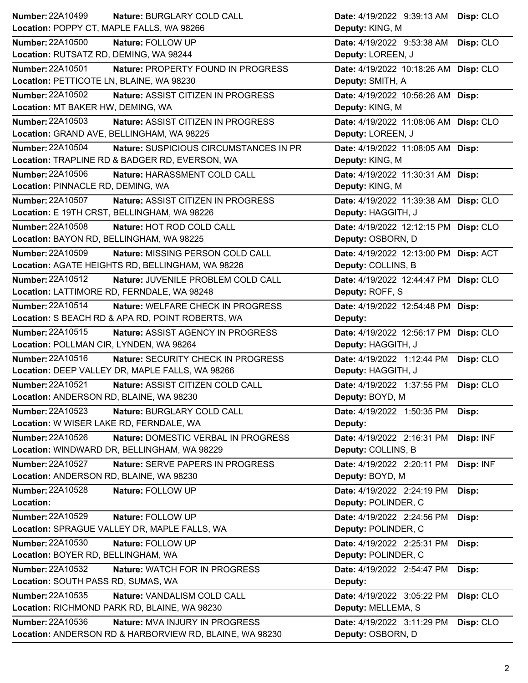| Number: 22A10499                            | Nature: BURGLARY COLD CALL                       | Date: 4/19/2022 9:39:13 AM Disp: CLO  |           |
|---------------------------------------------|--------------------------------------------------|---------------------------------------|-----------|
| Location: POPPY CT, MAPLE FALLS, WA 98266   |                                                  | Deputy: KING, M                       |           |
| <b>Number: 22A10500</b>                     | Nature: FOLLOW UP                                | Date: 4/19/2022 9:53:38 AM Disp: CLO  |           |
| Location: RUTSATZ RD, DEMING, WA 98244      |                                                  | Deputy: LOREEN, J                     |           |
| <b>Number: 22A10501</b>                     | Nature: PROPERTY FOUND IN PROGRESS               | Date: 4/19/2022 10:18:26 AM Disp: CLO |           |
| Location: PETTICOTE LN, BLAINE, WA 98230    |                                                  | Deputy: SMITH, A                      |           |
| <b>Number: 22A10502</b>                     | Nature: ASSIST CITIZEN IN PROGRESS               | Date: 4/19/2022 10:56:26 AM Disp:     |           |
| Location: MT BAKER HW, DEMING, WA           |                                                  | Deputy: KING, M                       |           |
| <b>Number: 22A10503</b>                     | Nature: ASSIST CITIZEN IN PROGRESS               | Date: 4/19/2022 11:08:06 AM Disp: CLO |           |
| Location: GRAND AVE, BELLINGHAM, WA 98225   |                                                  | Deputy: LOREEN, J                     |           |
| Number: 22A10504                            | Nature: SUSPICIOUS CIRCUMSTANCES IN PR           | Date: 4/19/2022 11:08:05 AM Disp:     |           |
|                                             | Location: TRAPLINE RD & BADGER RD, EVERSON, WA   | Deputy: KING, M                       |           |
| <b>Number: 22A10506</b>                     | Nature: HARASSMENT COLD CALL                     | Date: 4/19/2022 11:30:31 AM Disp:     |           |
| Location: PINNACLE RD, DEMING, WA           |                                                  | Deputy: KING, M                       |           |
| Number: 22A10507                            | Nature: ASSIST CITIZEN IN PROGRESS               | Date: 4/19/2022 11:39:38 AM Disp: CLO |           |
| Location: E 19TH CRST, BELLINGHAM, WA 98226 |                                                  | Deputy: HAGGITH, J                    |           |
| <b>Number: 22A10508</b>                     | Nature: HOT ROD COLD CALL                        | Date: 4/19/2022 12:12:15 PM Disp: CLO |           |
| Location: BAYON RD, BELLINGHAM, WA 98225    |                                                  | Deputy: OSBORN, D                     |           |
| Number: 22A10509                            | Nature: MISSING PERSON COLD CALL                 | Date: 4/19/2022 12:13:00 PM Disp: ACT |           |
|                                             | Location: AGATE HEIGHTS RD, BELLINGHAM, WA 98226 | Deputy: COLLINS, B                    |           |
| Number: 22A10512                            | Nature: JUVENILE PROBLEM COLD CALL               | Date: 4/19/2022 12:44:47 PM Disp: CLO |           |
| Location: LATTIMORE RD, FERNDALE, WA 98248  |                                                  | Deputy: ROFF, S                       |           |
| Number: 22A10514                            | Nature: WELFARE CHECK IN PROGRESS                | Date: 4/19/2022 12:54:48 PM Disp:     |           |
|                                             | Location: S BEACH RD & APA RD, POINT ROBERTS, WA | Deputy:                               |           |
| Number: 22A10515                            | Nature: ASSIST AGENCY IN PROGRESS                |                                       |           |
|                                             |                                                  | Date: 4/19/2022 12:56:17 PM Disp: CLO |           |
| Location: POLLMAN CIR, LYNDEN, WA 98264     |                                                  | Deputy: HAGGITH, J                    |           |
| Number: 22A10516                            | Nature: SECURITY CHECK IN PROGRESS               | Date: 4/19/2022 1:12:44 PM            | Disp: CLO |
|                                             | Location: DEEP VALLEY DR, MAPLE FALLS, WA 98266  | Deputy: HAGGITH, J                    |           |
| <b>Number: 22A10521</b>                     | Nature: ASSIST CITIZEN COLD CALL                 | Date: 4/19/2022 1:37:55 PM            | Disp: CLO |
| Location: ANDERSON RD, BLAINE, WA 98230     |                                                  | Deputy: BOYD, M                       |           |
| <b>Number: 22A10523</b>                     | Nature: BURGLARY COLD CALL                       | Date: 4/19/2022 1:50:35 PM            | Disp:     |
| Location: W WISER LAKE RD, FERNDALE, WA     |                                                  | Deputy:                               |           |
| Number: 22A10526                            | Nature: DOMESTIC VERBAL IN PROGRESS              | Date: 4/19/2022 2:16:31 PM Disp: INF  |           |
|                                             | Location: WINDWARD DR, BELLINGHAM, WA 98229      | Deputy: COLLINS, B                    |           |
| Number: 22A10527                            | Nature: SERVE PAPERS IN PROGRESS                 | Date: 4/19/2022 2:20:11 PM            | Disp: INF |
| Location: ANDERSON RD, BLAINE, WA 98230     |                                                  | Deputy: BOYD, M                       |           |
| Number: 22A10528                            | Nature: FOLLOW UP                                | Date: 4/19/2022 2:24:19 PM            | Disp:     |
| Location:                                   |                                                  | Deputy: POLINDER, C                   |           |
| Number: 22A10529                            | Nature: FOLLOW UP                                | Date: 4/19/2022 2:24:56 PM            | Disp:     |
|                                             | Location: SPRAGUE VALLEY DR, MAPLE FALLS, WA     | Deputy: POLINDER, C                   |           |
| Number: 22A10530                            | Nature: FOLLOW UP                                | Date: 4/19/2022 2:25:31 PM            | Disp:     |
| Location: BOYER RD, BELLINGHAM, WA          |                                                  | Deputy: POLINDER, C                   |           |
| Number: 22A10532                            | Nature: WATCH FOR IN PROGRESS                    | Date: 4/19/2022 2:54:47 PM            | Disp:     |
| Location: SOUTH PASS RD, SUMAS, WA          |                                                  | Deputy:                               |           |
| Number: 22A10535                            | Nature: VANDALISM COLD CALL                      | Date: 4/19/2022 3:05:22 PM            | Disp: CLO |
|                                             | Location: RICHMOND PARK RD, BLAINE, WA 98230     | Deputy: MELLEMA, S                    |           |
| Number: 22A10536                            | Nature: MVA INJURY IN PROGRESS                   | Date: 4/19/2022 3:11:29 PM            | Disp: CLO |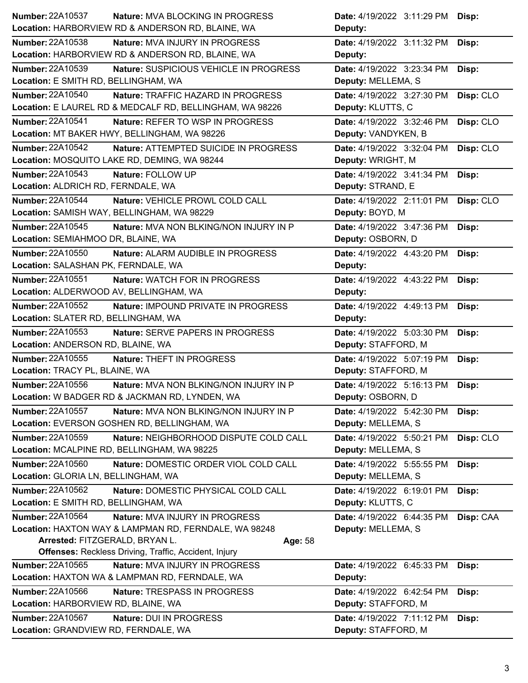| <b>Number: 22A10537</b><br><b>Nature: MVA BLOCKING IN PROGRESS</b>                         | Date: 4/19/2022 3:11:29 PM Disp:                              |
|--------------------------------------------------------------------------------------------|---------------------------------------------------------------|
| Location: HARBORVIEW RD & ANDERSON RD, BLAINE, WA                                          | Deputy:                                                       |
| Number: 22A10538<br><b>Nature: MVA INJURY IN PROGRESS</b>                                  | Date: 4/19/2022 3:11:32 PM<br>Disp:                           |
| Location: HARBORVIEW RD & ANDERSON RD, BLAINE, WA                                          | Deputy:                                                       |
| Number: 22A10539<br>Nature: SUSPICIOUS VEHICLE IN PROGRESS                                 | Date: 4/19/2022 3:23:34 PM<br>Disp:                           |
| Location: E SMITH RD, BELLINGHAM, WA                                                       | Deputy: MELLEMA, S                                            |
| <b>Number: 22A10540</b><br>Nature: TRAFFIC HAZARD IN PROGRESS                              | Date: 4/19/2022 3:27:30 PM<br>Disp: CLO                       |
| Location: E LAUREL RD & MEDCALF RD, BELLINGHAM, WA 98226                                   | Deputy: KLUTTS, C                                             |
| <b>Number: 22A10541</b><br>Nature: REFER TO WSP IN PROGRESS                                | Date: 4/19/2022 3:32:46 PM<br>Disp: CLO                       |
| Location: MT BAKER HWY, BELLINGHAM, WA 98226                                               | Deputy: VANDYKEN, B                                           |
| Number: 22A10542<br>Nature: ATTEMPTED SUICIDE IN PROGRESS                                  | Date: 4/19/2022 3:32:04 PM<br>Disp: CLO                       |
| Location: MOSQUITO LAKE RD, DEMING, WA 98244                                               | Deputy: WRIGHT, M                                             |
| Number: 22A10543<br>Nature: FOLLOW UP                                                      | Date: 4/19/2022 3:41:34 PM<br>Disp:                           |
| Location: ALDRICH RD, FERNDALE, WA                                                         | Deputy: STRAND, E                                             |
| <b>Number: 22A10544</b><br>Nature: VEHICLE PROWL COLD CALL                                 | Date: 4/19/2022 2:11:01 PM<br>Disp: CLO                       |
| Location: SAMISH WAY, BELLINGHAM, WA 98229                                                 | Deputy: BOYD, M                                               |
| Number: 22A10545<br>Nature: MVA NON BLKING/NON INJURY IN P                                 | Date: 4/19/2022 3:47:36 PM<br>Disp:                           |
| Location: SEMIAHMOO DR, BLAINE, WA                                                         | Deputy: OSBORN, D                                             |
| Number: 22A10550<br>Nature: ALARM AUDIBLE IN PROGRESS                                      | Date: 4/19/2022 4:43:20 PM<br>Disp:                           |
| Location: SALASHAN PK, FERNDALE, WA                                                        | Deputy:                                                       |
| Number: 22A10551<br><b>Nature: WATCH FOR IN PROGRESS</b>                                   | Date: 4/19/2022 4:43:22 PM<br>Disp:                           |
| Location: ALDERWOOD AV, BELLINGHAM, WA                                                     | Deputy:                                                       |
| Number: 22A10552<br><b>Nature: IMPOUND PRIVATE IN PROGRESS</b>                             | Date: 4/19/2022 4:49:13 PM<br>Disp:                           |
| Location: SLATER RD, BELLINGHAM, WA                                                        | Deputy:                                                       |
| Number: 22A10553<br>Nature: SERVE PAPERS IN PROGRESS                                       | Date: 4/19/2022 5:03:30 PM<br>Disp:                           |
| Location: ANDERSON RD, BLAINE, WA                                                          | Deputy: STAFFORD, M                                           |
| <b>Number: 22A10555</b><br>Nature: THEFT IN PROGRESS                                       | Date: 4/19/2022 5:07:19 PM<br>Disp:                           |
|                                                                                            | Deputy: STAFFORD, M                                           |
| Location: TRACY PL, BLAINE, WA                                                             |                                                               |
| <b>Number: 22A10556</b><br>Nature: MVA NON BLKING/NON INJURY IN P                          | Date: 4/19/2022 5:16:13 PM<br>Disp:                           |
| Location: W BADGER RD & JACKMAN RD, LYNDEN, WA                                             | Deputy: OSBORN, D                                             |
| <b>Number: 22A10557</b><br>Nature: MVA NON BLKING/NON INJURY IN P                          | Date: 4/19/2022 5:42:30 PM<br>Disp:                           |
| Location: EVERSON GOSHEN RD, BELLINGHAM, WA                                                | Deputy: MELLEMA, S                                            |
| Number: 22A10559<br>Nature: NEIGHBORHOOD DISPUTE COLD CALL                                 | Date: 4/19/2022 5:50:21 PM                                    |
| Location: MCALPINE RD, BELLINGHAM, WA 98225                                                | Disp: CLO<br>Deputy: MELLEMA, S                               |
| Number: 22A10560<br>Nature: DOMESTIC ORDER VIOL COLD CALL                                  | Date: 4/19/2022 5:55:55 PM                                    |
| Location: GLORIA LN, BELLINGHAM, WA                                                        | Disp:<br>Deputy: MELLEMA, S                                   |
| Number: 22A10562<br>Nature: DOMESTIC PHYSICAL COLD CALL                                    |                                                               |
| Location: E SMITH RD, BELLINGHAM, WA                                                       | Date: 4/19/2022 6:19:01 PM<br>Disp:<br>Deputy: KLUTTS, C      |
| Number: 22A10564<br>Nature: MVA INJURY IN PROGRESS                                         |                                                               |
| Location: HAXTON WAY & LAMPMAN RD, FERNDALE, WA 98248                                      | Date: 4/19/2022 6:44:35 PM<br>Disp: CAA<br>Deputy: MELLEMA, S |
| Arrested: FITZGERALD, BRYAN L.<br>Age: 58                                                  |                                                               |
| <b>Offenses: Reckless Driving, Traffic, Accident, Injury</b>                               |                                                               |
| <b>Number: 22A10565</b><br><b>Nature: MVA INJURY IN PROGRESS</b>                           | Date: 4/19/2022 6:45:33 PM<br>Disp:                           |
| Location: HAXTON WA & LAMPMAN RD, FERNDALE, WA                                             | Deputy:                                                       |
| Number: 22A10566<br>Nature: TRESPASS IN PROGRESS                                           | Date: 4/19/2022 6:42:54 PM<br>Disp:                           |
| Location: HARBORVIEW RD, BLAINE, WA                                                        | Deputy: STAFFORD, M                                           |
| <b>Number: 22A10567</b><br>Nature: DUI IN PROGRESS<br>Location: GRANDVIEW RD, FERNDALE, WA | Date: 4/19/2022 7:11:12 PM<br>Disp:                           |